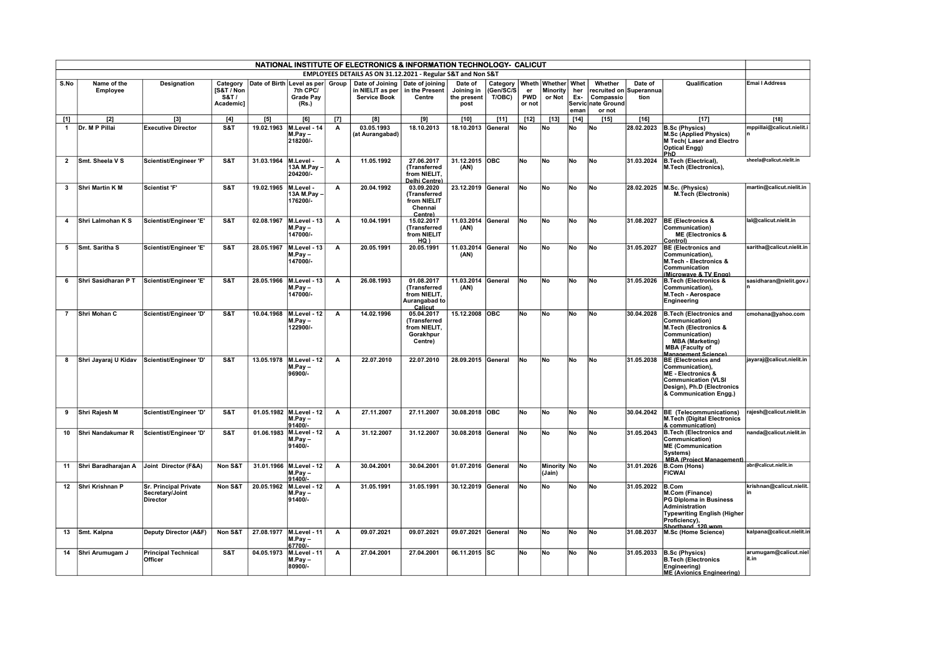|                |                         |                                                                    |                                                         |                      |                                                                           |              | NATIONAL INSTITUTE OF ELECTRONICS & INFORMATION TECHNOLOGY- CALICUT          |                                                                        |                                              |                                                          |                            |                           |                    |                                                                                 |                 |                                                                                                                                                                        |                                 |
|----------------|-------------------------|--------------------------------------------------------------------|---------------------------------------------------------|----------------------|---------------------------------------------------------------------------|--------------|------------------------------------------------------------------------------|------------------------------------------------------------------------|----------------------------------------------|----------------------------------------------------------|----------------------------|---------------------------|--------------------|---------------------------------------------------------------------------------|-----------------|------------------------------------------------------------------------------------------------------------------------------------------------------------------------|---------------------------------|
|                |                         |                                                                    |                                                         |                      |                                                                           |              | EMPLOYEES DETAILS AS ON 31.12.2021 - Regular S&T and Non S&T                 |                                                                        |                                              |                                                          |                            |                           |                    |                                                                                 |                 |                                                                                                                                                                        |                                 |
| S.No           | Name of the<br>Employee | Designation                                                        | Category<br>[S&T / Non<br><b>S&amp;T</b> /<br>Academic] |                      | Date of Birth Level as per Group<br>7th CPC/<br><b>Grade Pay</b><br>(Rs.) |              | Date of Joining   Date of joining<br>in NIELIT as per<br><b>Service Book</b> | in the Present<br>Centre                                               | Date of<br>Joining in<br>the present<br>post | Category   Wheth   Whether   Whet<br>(Gen/SC/S<br>T/OBC) | er<br><b>PWD</b><br>or not | <b>Minority</b><br>or Not | her<br>Ex-<br>eman | Whether<br>recruited on Superannua<br>Compassio<br>Servic nate Ground<br>or not | Date of<br>tion | Qualification                                                                                                                                                          | Emai I Address                  |
| $[1]$          | $[2]$                   | $[3]$                                                              | [4]                                                     | $[5]$                | [6]                                                                       | $[7]$        | [8]                                                                          | [9]                                                                    | $[10]$                                       | $[11]$                                                   | $[12]$                     | $[13]$                    | $[14]$             | $[15]$                                                                          | $[16]$          | $[17]$                                                                                                                                                                 | $[18]$                          |
| $\overline{1}$ | Dr. M P Pillai          | <b>Executive Director</b>                                          | S&T                                                     | 19.02.1963           | M.Level - 14<br>M.Pav-<br>218200/-                                        | А            | 03.05.1993<br>(at Aurangabad)                                                | 18.10.2013                                                             | 18.10.2013                                   | General                                                  | No                         | No                        | No                 | <b>No</b>                                                                       | 28.02.2023      | <b>B.Sc (Physics)</b><br><b>M.Sc (Applied Physics)</b><br>M Tech(Laser and Electro<br><b>Optical Engg)</b><br>PhD                                                      | mppillai@calicut.nielit.i       |
| $\overline{2}$ | Smt. Sheela V S         | Scientist/Engineer 'F'                                             | S&T                                                     | 31.03.1964 M.Level - | 13A M.Pay<br>204200/-                                                     | А            | 11.05.1992                                                                   | 27.06.2017<br>(Transferred<br>from NIELIT.<br>Delhi Centre)            | 31.12.2015 OBC<br>(AN)                       |                                                          | <b>No</b>                  | No                        | <b>No</b>          | No                                                                              | 31.03.2024      | <b>B.Tech (Electrical).</b><br>M.Tech (Electronics),                                                                                                                   | sheela@calicut.nielit.in        |
| $\mathbf{3}$   | Shri Martin K M         | Scientist 'F'                                                      | S&T                                                     | 19.02.1965 M.Level - | 13A M.Pav<br>176200/-                                                     | А            | 20.04.1992                                                                   | 03.09.2020<br>(Transferred<br>from NIELIT<br>Chennai<br>Centre)        | 23.12.2019 General                           |                                                          | No                         | No                        | No                 | <b>No</b>                                                                       | 28.02.2025      | M.Sc. (Physics)<br><b>M.Tech (Electronis)</b>                                                                                                                          | martin@calicut.nielit.in        |
| $\overline{4}$ | Shri Lalmohan K S       | Scientist/Engineer 'E'                                             | S&T                                                     | 02.08.1967           | M.Level - 13<br>M.Pav-<br>147000/-                                        | A            | 10.04.1991                                                                   | 15.02.2017<br>(Transferred<br>from NIELIT<br>HQ)                       | 11.03.2014<br>(AN)                           | General                                                  | <b>No</b>                  | <b>No</b>                 | No                 | <b>No</b>                                                                       | 31.08.2027      | <b>BE (Electronics &amp;</b><br>Communication)<br><b>ME (Electronics &amp;</b><br>Control)                                                                             | lal@calicut.nielit.in           |
| 5              | Smt. Saritha S          | Scientist/Engineer 'E'                                             | S&T                                                     | 28.05.1967           | M.Level - 13<br>M.Pav-<br>147000/-                                        | A            | 20.05.1991                                                                   | 20.05.1991                                                             | 11.03.2014<br>(AN)                           | General                                                  | <b>No</b>                  | <b>No</b>                 | No                 | <b>No</b>                                                                       | 31.05.2027      | <b>BE (Electronics and</b><br>Communication).<br>M.Tech - Electronics &<br>Communication<br>(Microwave & TV Engg)                                                      | saritha@calicut.nielit.in       |
| 6              | Shri Sasidharan P T     | Scientist/Engineer 'E'                                             | S&T                                                     |                      | 28.05.1966 M.Level - 13<br>M.Pav-<br>147000/-                             | A            | 26.08.1993                                                                   | 01.08.2017<br>(Transferred<br>from NIELIT,<br>Aurangabad to<br>Calicut | 11.03.2014 General<br>(AN)                   |                                                          | No                         | No                        | No                 | No                                                                              | 31.05.2026      | <b>B.Tech (Electronics &amp;</b><br>Communication).<br>M.Tech - Aerospace<br>Engineering                                                                               | sasidharan@nielit.gov.          |
| $\overline{7}$ | Shri Mohan C            | Scientist/Engineer 'D'                                             | S&T                                                     |                      | 10.04.1968 M.Level - 12<br>M.Pav-<br>122900/-                             | A            | 14.02.1996                                                                   | 05.04.2017<br>(Transferred<br>from NIELIT,<br>Gorakhpur<br>Centre)     | 15.12.2008 OBC                               |                                                          | <b>No</b>                  | No.                       | No                 | No.                                                                             | 30.04.2028      | <b>B.Tech (Electronics and</b><br>Communication)<br>M.Tech (Electronics &<br>Communication)<br><b>MBA (Marketing)</b><br><b>MBA (Faculty of</b><br>Management Science) | cmohana@yahoo.com               |
| 8              | Shri Jayaraj U Kidav    | Scientist/Engineer 'D'                                             | S&T                                                     |                      | 13.05.1978 M.Level - 12<br>$M.Pay -$<br>96900/-                           | A            | 22.07.2010                                                                   | 22.07.2010                                                             | 28.09.2015 General                           |                                                          | <b>No</b>                  | No.                       | <b>No</b>          | <b>No</b>                                                                       | 31.05.2038      | <b>BE (Electronics and</b><br>Communication),<br><b>ME - Electronics &amp;</b><br><b>Communication (VLSI</b><br>Design), Ph.D (Electronics<br>& Communication Engg.)   | jayaraj@calicut.nielit.in       |
| 9              | Shri Rajesh M           | Scientist/Engineer 'D'                                             | S&T                                                     |                      | 01.05.1982 M.Level - 12<br>M.Pav-<br>91400/-                              | A            | 27.11.2007                                                                   | 27.11.2007                                                             | 30.08.2018 OBC                               |                                                          | <b>No</b>                  | <b>No</b>                 | No                 | <b>No</b>                                                                       | 30.04.2042      | <b>BE</b> (Telecommunications)<br>M.Tech (Digital Electronics<br>& communication)                                                                                      | rajesh@calicut.nielit.in        |
| 10             | Shri Nandakumar R       | Scientist/Engineer 'D'                                             | S&T                                                     |                      | 01.06.1983 M.Level - 12<br>M.Pay-<br>91400/-                              | A            | 31.12.2007                                                                   | 31.12.2007                                                             | 30.08.2018 General                           |                                                          | No                         | No                        | No                 | No                                                                              | 31.05.2043      | <b>B.Tech (Electronics and</b><br>Communication)<br><b>ME (Communication</b><br>Systems)<br><b>MBA (Project Management)</b>                                            | nanda@calicut.nielit.in         |
| 11             | Shri Baradharaian A     | Joint Director (F&A)                                               | Non S&T                                                 |                      | 31.01.1966 M.Level - 12<br>M.Pav-<br>91400/-                              | $\mathsf{A}$ | 30.04.2001                                                                   | 30.04.2001                                                             | 01.07.2016 General                           |                                                          | <b>No</b>                  | Minority No<br>(Jain)     |                    | No.                                                                             | 31.01.2026      | B.Com (Hons)<br><b>FICWAI</b>                                                                                                                                          | abr@calicut.nielit.in           |
| 12             | Shri Krishnan P         | <b>Sr. Principal Private</b><br>Secretary/Joint<br><b>Director</b> | Non S&T                                                 | 20.05.1962           | M.Level - 12<br>$M.Pay -$<br>91400/-                                      | $\mathsf{A}$ | 31.05.1991                                                                   | 31.05.1991                                                             | 30.12.2019                                   | General                                                  | lNo.                       | <b>No</b>                 | No                 | <b>No</b>                                                                       | 31.05.2022      | B.Com<br><b>M.Com (Finance)</b><br>PG Diploma in Business<br>Administration<br><b>Typewriting English (Higher</b><br>Proficiency),<br>Shorthand 120 wpm                | krishnan@calicut.nielit.        |
| 13             | Smt. Kalpna             | Deputy Director (A&F)                                              | Non S&T                                                 | 27.08.1977           | M.Level - 11<br>M.Pay-<br>67700/-                                         | A            | 09.07.2021                                                                   | 09.07.2021                                                             | 09.07.2021                                   | General                                                  | No                         | No                        | No                 | No                                                                              | 31.08.2037      | M.Sc (Home Science)                                                                                                                                                    | kalpana@calicut.nielit.ir       |
| 14             | Shri Arumugam J         | <b>Principal Technical</b><br>Officer                              | S&T                                                     | 04.05.1973           | M.Level - 11<br>M.Pav-<br>80900/-                                         | A            | 27.04.2001                                                                   | 27.04.2001                                                             | 06.11.2015 SC                                |                                                          | No                         | No                        | No                 | No                                                                              | 31.05.2033      | <b>B.Sc (Physics)</b><br><b>B.Tech (Electronics</b><br>Engineering)<br><b>ME (Avionics Engineering)</b>                                                                | arumugam@calicut.niel<br>lit.in |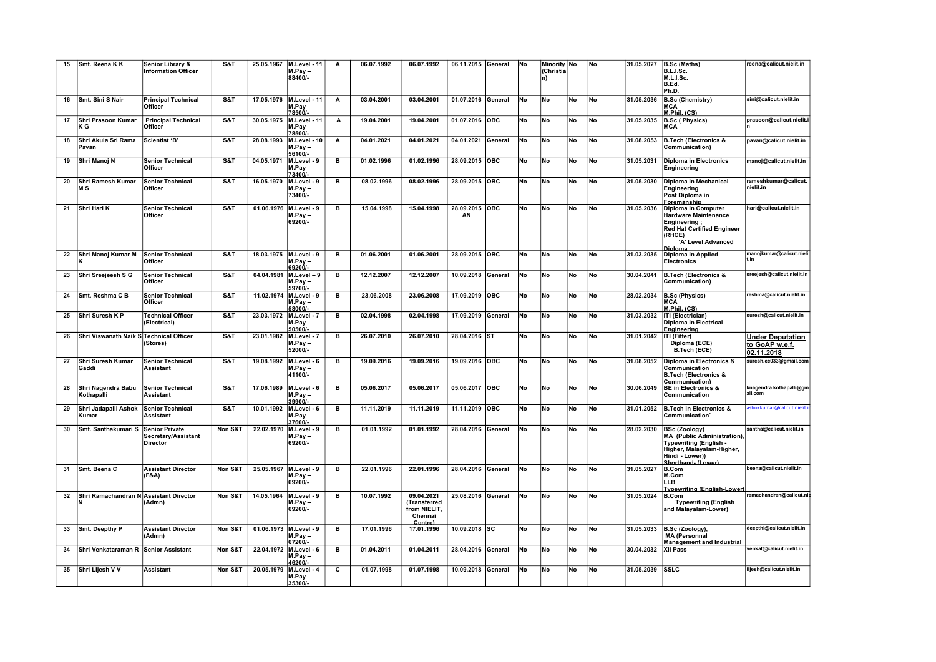| 15 | Smt. Reena K K                          | Senior Library &<br><b>Information Officer</b>                  | S&T     | 25.05.1967             | M.Level - 11<br>M.Pay-                       | А            | 06.07.1992 | 06.07.1992                                                       | 06.11.2015 General |            | lNo       | Minority No<br>(Christia |           | <b>No</b> | 31.05.2027 | B.Sc (Maths)<br>B.L.I.Sc.                                                                                                                           | reena@calicut.nielit.in                                 |
|----|-----------------------------------------|-----------------------------------------------------------------|---------|------------------------|----------------------------------------------|--------------|------------|------------------------------------------------------------------|--------------------|------------|-----------|--------------------------|-----------|-----------|------------|-----------------------------------------------------------------------------------------------------------------------------------------------------|---------------------------------------------------------|
|    |                                         |                                                                 |         |                        | 88400/-                                      |              |            |                                                                  |                    |            |           | ln)                      |           |           |            | M.L.I.Sc.<br>B.Ed.<br>Ph.D.                                                                                                                         |                                                         |
| 16 | Smt. Sini S Nair                        | <b>Principal Technical</b><br>Officer                           | S&T     | 17.05.1976             | M.Level - 11<br>$M.Pay -$<br>78500/          | А            | 03.04.2001 | 03.04.2001                                                       | 01.07.2016         | General    | <b>No</b> | <b>No</b>                | No        | <b>No</b> | 31.05.2036 | <b>B.Sc (Chemistry)</b><br>MCA<br>M.Phil. (CS)                                                                                                      | sini@calicut.nielit.in                                  |
| 17 | Shri Prasoon Kumar<br>ΚG                | <b>Principal Technical</b><br>Officer                           | S&T     |                        | 30.05.1975 M.Level - 11<br>M.Pay-<br>78500/- | Α            | 19.04.2001 | 19.04.2001                                                       | 01.07.2016         | OBC        | No        | No                       | No        | No        | 31.05.2035 | <b>B.Sc (Physics)</b><br><b>MCA</b>                                                                                                                 | prasoon@calicut.nielit.i                                |
| 18 | Shri Akula Sri Rama<br>Pavan            | Scientist 'B'                                                   | S&T     |                        | 28.08.1993 M.Level - 10<br>M.Pav-<br>56100/- | $\mathsf{A}$ | 04.01.2021 | 04.01.2021                                                       | 04.01.2021         | General    | No        | <b>No</b>                | No        | No        | 31.08.2053 | <b>B.Tech (Electronics &amp;</b><br>Communication)                                                                                                  | pavan@calicut.nielit.in                                 |
| 19 | Shri Manoj N                            | <b>Senior Technical</b><br>Officer                              | S&T     | 04.05.1971 M.Level - 9 | M.Pay-<br>73400/-                            | в            | 01.02.1996 | 01.02.1996                                                       | 28.09.2015         | <b>OBC</b> | No        | No                       | No        | <b>No</b> | 31.05.2031 | Diploma in Electronics<br>Engineering                                                                                                               | manoj@calicut.nielit.in                                 |
| 20 | Shri Ramesh Kumar<br><b>MS</b>          | <b>Senior Technical</b><br>Officer                              | S&T     | 16.05.1970 M.Level - 9 | M.Pay-<br>73400/-                            | в            | 08.02.1996 | 08.02.1996                                                       | 28.09.2015         | <b>OBC</b> | No        | No                       | No        | No        | 31.05.2030 | Diploma in Mechanical<br>Engineering<br>Post Diploma in<br>Foremanship                                                                              | rameshkumar@calicut.<br>nielit.in                       |
| 21 | Shri Hari K                             | <b>Senior Technical</b><br>Officer                              | S&T     | 01.06.1976 M.Level - 9 | M.Pay-<br>69200/-                            | в            | 15.04.1998 | 15.04.1998                                                       | 28.09.2015<br>ΑN   | <b>OBC</b> | <b>No</b> | No                       | No        | No        | 31.05.2036 | Diploma in Computer<br><b>Hardware Maintenance</b><br>Engineering;<br><b>Red Hat Certified Engineer</b><br>(RHCE)<br>'A' Level Advanced<br>Dinloma  | hari@calicut.nielit.in                                  |
| 22 | Shri Manoj Kumar M                      | <b>Senior Technical</b><br>Officer                              | S&T     | 18.03.1975 M.Level - 9 | $M.Pay -$<br>69200/-                         | в            | 01.06.2001 | 01.06.2001                                                       | 28.09.2015 OBC     |            | No        | No                       | No        | No        | 31.03.2035 | Diploma in Applied<br>Electronics                                                                                                                   | manojkumar@calicut.nieli                                |
| 23 | Shri Sreejeesh S G                      | <b>Senior Technical</b><br>Officer                              | S&T     | 04.04.1981             | M.Level - 9<br>M.Pav-<br>59700/-             | в            | 12.12.2007 | 12.12.2007                                                       | 10.09.2018         | General    | No        | No                       | No        | No        | 30.04.2041 | <b>B.Tech (Electronics &amp;</b><br>Communication)                                                                                                  | sreejesh@calicut.nielit.in                              |
| 24 | Smt. Reshma C B                         | <b>Senior Technical</b><br>Officer                              | S&T     | 11.02.1974 M.Level - 9 | M.Pay-<br>58000/-                            | в            | 23.06.2008 | 23.06.2008                                                       | 17.09.2019         | <b>OBC</b> | No        | <b>No</b>                | No        | <b>No</b> | 28.02.2034 | <b>B.Sc (Physics)</b><br><b>MCA</b><br>M.Phil. (CS)                                                                                                 | reshma@calicut.nielit.in                                |
| 25 | Shri Suresh K P                         | <b>Technical Officer</b><br>(Electrical)                        | S&T     | 23.03.1972 M.Level - 7 | $M.Pay -$<br>50500/-                         | в            | 02.04.1998 | 02.04.1998                                                       | 17.09.2019         | General    | No        | No                       | No        | No        | 31.03.2032 | ITI (Electrician)<br>Diploma in Electrical<br><u>Engineering</u>                                                                                    | suresh@calicut.nielit.in                                |
| 26 | Shri Viswanath Naik S Technical Officer | (Stores)                                                        | S&T     | 23.01.1982             | M.Level - 7<br>M.Pay-<br>52000/-             | в            | 26.07.2010 | 26.07.2010                                                       | 28.04.2016 ST      |            | No        | No                       | No        | No        | 31.01.2042 | ITI (Fitter)<br>Diploma (ECE)<br><b>B.Tech (ECE)</b>                                                                                                | <b>Under Deputation</b><br>to GoAP w.e.f.<br>02.11.2018 |
| 27 | Shri Suresh Kumar<br>Gaddi              | <b>Senior Technical</b><br><b>Assistant</b>                     | S&T     | 19.08.1992             | M.Level - 6<br>M.Pay-<br>41100/-             | в            | 19.09.2016 | 19.09.2016                                                       | 19.09.2016         | OBC        | No        | No                       | No        | No        | 31.08.2052 | Diploma in Electronics &<br>Communication<br><b>B.Tech (Electronics &amp;</b><br>Communication)                                                     | suresh.ec033@gmail.com                                  |
| 28 | Shri Nagendra Babu<br>Kothapalli        | <b>Senior Technical</b><br><b>Assistant</b>                     | S&T     | 17.06.1989             | M.Level - 6<br>$M.Pay -$<br>39900/-          | в            | 05.06.2017 | 05.06.2017                                                       | 05.06.2017         | <b>OBC</b> | lNo.      | No                       | No        | No        | 30.06.2049 | <b>BE in Electronics &amp;</b><br>Communication                                                                                                     | knagendra.kothapalli@gm<br>ail.com                      |
| 29 | Shri Jadapalli Ashok<br>Kumar           | <b>Senior Technical</b><br><b>Assistant</b>                     | S&T     | 10.01.1992 M.Level - 6 | M.Pay-<br>37600/-                            | в            | 11.11.2019 | 11.11.2019                                                       | 11.11.2019         | <b>OBC</b> | No        | No                       | No        | No        | 31.01.2052 | <b>B.Tech in Electronics &amp;</b><br>Communication'                                                                                                | shokkumar@calicut.nielit                                |
| 30 | Smt. Santhakumari S                     | <b>Senior Private</b><br>Secretary/Assistant<br><b>Director</b> | Non S&T | 22.02.1970             | M.Level - 9<br>M.Pav-<br>69200/-             | в            | 01.01.1992 | 01.01.1992                                                       | 28.04.2016         | General    | No        | <b>No</b>                | No        | <b>No</b> | 28.02.2030 | <b>BSc (Zoology)</b><br>MA (Public Administration),<br>Typewriting (English -<br>Higher, Malayalam-Higher,<br>Hindi - Lower))<br>Shorthand- (Lower) | santha@calicut.nielit.in                                |
| 31 | Smt. Beena C                            | <b>Assistant Director</b><br>(F&A)                              | Non S&T | 25.05.1967             | M.Level - 9<br>M.Pay-<br>69200/-             | в            | 22.01.1996 | 22.01.1996                                                       | 28.04.2016 General |            | No        | No                       | No        | No        | 31.05.2027 | <b>B.Com</b><br>M.Com<br><b>LLB</b><br><b>Typewriting (English-Lower)</b>                                                                           | beena@calicut.nielit.in                                 |
| 32 | Shri Ramachandran N Assistant Director  | (Admn)                                                          | Non S&T | 14.05.1964             | M.Level - 9<br>M.Pav –<br>69200/-            | в            | 10.07.1992 | 09.04.2021<br>(Transferred<br>from NIELIT,<br>Chennai<br>Centre) | 25.08.2016         | General    | <b>No</b> | <b>No</b>                | No        | <b>No</b> | 31.05.2024 | <b>B.Com</b><br><b>Typewriting (English</b><br>and Malayalam-Lower)                                                                                 | ramachandran@calicut.ni                                 |
| 33 | Smt. Deepthy P                          | <b>Assistant Director</b><br>(Admn)                             | Non S&T | 01.06.1973 M.Level - 9 | $M.Pay -$<br>67200/                          | в            | 17.01.1996 | 17.01.1996                                                       | 10.09.2018 SC      |            | lNo.      | <b>No</b>                | No        | No        | 31.05.2033 | B.Sc (Zoology).<br><b>MA (Personnal</b><br><b>Management and Industrial</b>                                                                         | deepthi@calicut.nielit.in                               |
| 34 | Shri Venkataraman R Senior Assistant    |                                                                 | Non S&T | 22.04.1972 M.Level - 6 | $M.Pay -$<br>46200/-                         | в            | 01.04.2011 | 01.04.2011                                                       | 28.04.2016         | General    | No        | No                       | <b>No</b> | No        | 30.04.2032 | <b>XII Pass</b>                                                                                                                                     | venkat@calicut.nielit.in                                |
| 35 | Shri Lijesh V V                         | <b>Assistant</b>                                                | Non S&T | 20.05.1979             | M.Level - 4<br>M.Pav –<br>35300/-            | c            | 01.07.1998 | 01.07.1998                                                       | 10.09.2018         | General    | No        | No                       | No        | <b>No</b> | 31.05.2039 | SSLC                                                                                                                                                | lijesh@calicut.nielit.in                                |